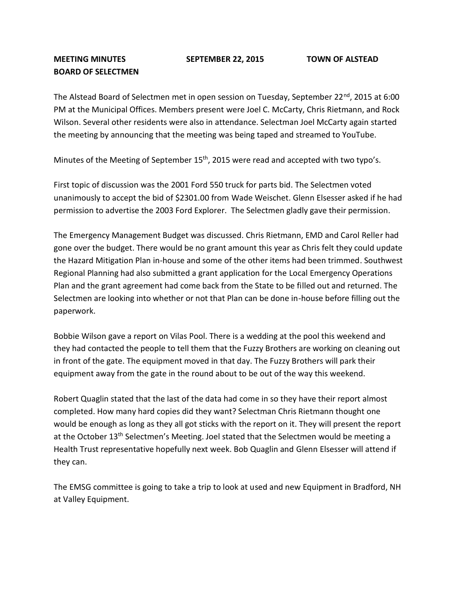## **MEETING MINUTES SEPTEMBER 22, 2015 TOWN OF ALSTEAD BOARD OF SELECTMEN**

The Alstead Board of Selectmen met in open session on Tuesday, September 22<sup>nd</sup>, 2015 at 6:00 PM at the Municipal Offices. Members present were Joel C. McCarty, Chris Rietmann, and Rock Wilson. Several other residents were also in attendance. Selectman Joel McCarty again started the meeting by announcing that the meeting was being taped and streamed to YouTube.

Minutes of the Meeting of September 15<sup>th</sup>, 2015 were read and accepted with two typo's.

First topic of discussion was the 2001 Ford 550 truck for parts bid. The Selectmen voted unanimously to accept the bid of \$2301.00 from Wade Weischet. Glenn Elsesser asked if he had permission to advertise the 2003 Ford Explorer. The Selectmen gladly gave their permission.

The Emergency Management Budget was discussed. Chris Rietmann, EMD and Carol Reller had gone over the budget. There would be no grant amount this year as Chris felt they could update the Hazard Mitigation Plan in-house and some of the other items had been trimmed. Southwest Regional Planning had also submitted a grant application for the Local Emergency Operations Plan and the grant agreement had come back from the State to be filled out and returned. The Selectmen are looking into whether or not that Plan can be done in-house before filling out the paperwork.

Bobbie Wilson gave a report on Vilas Pool. There is a wedding at the pool this weekend and they had contacted the people to tell them that the Fuzzy Brothers are working on cleaning out in front of the gate. The equipment moved in that day. The Fuzzy Brothers will park their equipment away from the gate in the round about to be out of the way this weekend.

Robert Quaglin stated that the last of the data had come in so they have their report almost completed. How many hard copies did they want? Selectman Chris Rietmann thought one would be enough as long as they all got sticks with the report on it. They will present the report at the October 13<sup>th</sup> Selectmen's Meeting. Joel stated that the Selectmen would be meeting a Health Trust representative hopefully next week. Bob Quaglin and Glenn Elsesser will attend if they can.

The EMSG committee is going to take a trip to look at used and new Equipment in Bradford, NH at Valley Equipment.